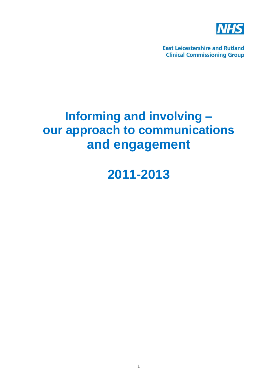

**East Leicestershire and Rutland Clinical Commissioning Group** 

# **Informing and involving – our approach to communications and engagement**

**2011-2013**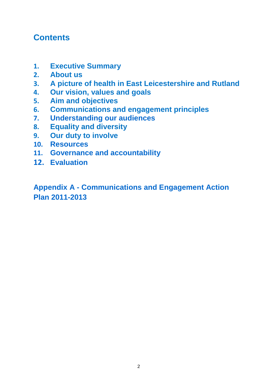### **Contents**

- **1. Executive Summary**
- **2. About us**
- **3. A picture of health in East Leicestershire and Rutland**
- **4. Our vision, values and goals**
- **5. Aim and objectives**
- **6. Communications and engagement principles**
- **7. Understanding our audiences**
- **8. Equality and diversity**
- **9. Our duty to involve**
- **10. Resources**
- **11. Governance and accountability**
- **12. Evaluation**

**Appendix A - Communications and Engagement Action Plan 2011-2013**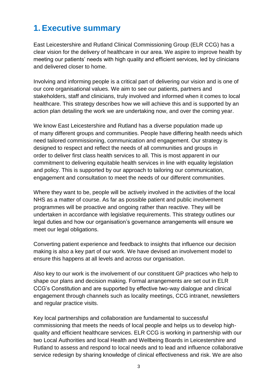### **1. Executive summary**

East Leicestershire and Rutland Clinical Commissioning Group (ELR CCG) has a clear vision for the delivery of healthcare in our area. We aspire to improve health by meeting our patients' needs with high quality and efficient services, led by clinicians and delivered closer to home.

Involving and informing people is a critical part of delivering our vision and is one of our core organisational values. We aim to see our patients, partners and stakeholders, staff and clinicians, truly involved and informed when it comes to local healthcare. This strategy describes how we will achieve this and is supported by an action plan detailing the work we are undertaking now, and over the coming year.

We know East Leicestershire and Rutland has a diverse population made up of many different groups and communities. People have differing health needs which need tailored commissioning, communication and engagement. Our strategy is designed to respect and reflect the needs of all communities and groups in order to deliver first class health services to all. This is most apparent in our commitment to delivering equitable health services in line with equality legislation and policy. This is supported by our approach to tailoring our communication, engagement and consultation to meet the needs of our different communities.

Where they want to be, people will be actively involved in the activities of the local NHS as a matter of course. As far as possible patient and public involvement programmes will be proactive and ongoing rather than reactive. They will be undertaken in accordance with legislative requirements. This strategy outlines our legal duties and how our organisation"s governance arrangements will ensure we meet our legal obligations.

Converting patient experience and feedback to insights that influence our decision making is also a key part of our work. We have devised an involvement model to ensure this happens at all levels and across our organisation.

Also key to our work is the involvement of our constituent GP practices who help to shape our plans and decision making. Formal arrangements are set out in ELR CCG"s Constitution and are supported by effective two-way dialogue and clinical engagement through channels such as locality meetings, CCG intranet, newsletters and regular practice visits.

Key local partnerships and collaboration are fundamental to successful commissioning that meets the needs of local people and helps us to develop highquality and efficient healthcare services. ELR CCG is working in partnership with our two Local Authorities and local Health and Wellbeing Boards in Leicestershire and Rutland to assess and respond to local needs and to lead and influence collaborative service redesign by sharing knowledge of clinical effectiveness and risk. We are also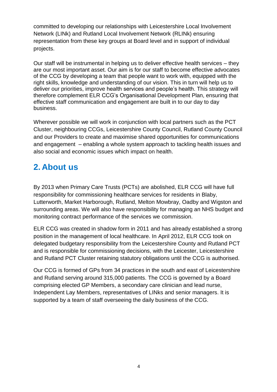committed to developing our relationships with Leicestershire Local Involvement Network (LINk) and Rutland Local Involvement Network (RLINk) ensuring representation from these key groups at Board level and in support of individual projects.

Our staff will be instrumental in helping us to deliver effective health services – they are our most important asset. Our aim is for our staff to become effective advocates of the CCG by developing a team that people want to work with, equipped with the right skills, knowledge and understanding of our vision. This in turn will help us to deliver our priorities, improve health services and people"s health. This strategy will therefore complement ELR CCG"s Organisational Development Plan, ensuring that effective staff communication and engagement are built in to our day to day business.

Wherever possible we will work in conjunction with local partners such as the PCT Cluster, neighbouring CCGs, Leicestershire County Council, Rutland County Council and our Providers to create and maximise shared opportunities for communications and engagement – enabling a whole system approach to tackling health issues and also social and economic issues which impact on health.

# **2. About us**

By 2013 when Primary Care Trusts (PCTs) are abolished, ELR CCG will have full responsibility for commissioning healthcare services for residents in Blaby, Lutterworth, Market Harborough, Rutland, Melton Mowbray, Oadby and Wigston and surrounding areas. We will also have responsibility for managing an NHS budget and monitoring contract performance of the services we commission.

ELR CCG was created in shadow form in 2011 and has already established a strong position in the management of local healthcare. In April 2012, ELR CCG took on delegated budgetary responsibility from the Leicestershire County and Rutland PCT and is responsible for commissioning decisions, with the Leicester, Leicestershire and Rutland PCT Cluster retaining statutory obligations until the CCG is authorised.

Our CCG is formed of GPs from 34 practices in the south and east of Leicestershire and Rutland serving around 315,000 patients. The CCG is governed by a Board comprising elected GP Members, a secondary care clinician and lead nurse, Independent Lay Members, representatives of LINks and senior managers. It is supported by a team of staff overseeing the daily business of the CCG.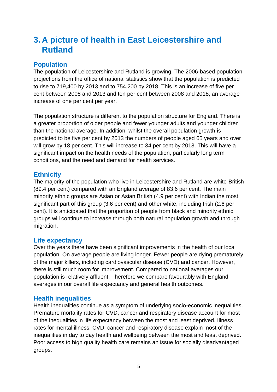### **3. A picture of health in East Leicestershire and Rutland**

#### **Population**

The population of Leicestershire and Rutland is growing. The 2006-based population projections from the office of national statistics show that the population is predicted to rise to 719,400 by 2013 and to 754,200 by 2018. This is an increase of five per cent between 2008 and 2013 and ten per cent between 2008 and 2018, an average increase of one per cent per year.

The population structure is different to the population structure for England. There is a greater proportion of older people and fewer younger adults and younger children than the national average. In addition, whilst the overall population growth is predicted to be five per cent by 2013 the numbers of people aged 65 years and over will grow by 18 per cent. This will increase to 34 per cent by 2018. This will have a significant impact on the health needs of the population, particularly long term conditions, and the need and demand for health services.

#### **Ethnicity**

The majority of the population who live in Leicestershire and Rutland are white British (89.4 per cent) compared with an England average of 83.6 per cent. The main minority ethnic groups are Asian or Asian British (4.9 per cent) with Indian the most significant part of this group (3.6 per cent) and other white, including Irish (2.6 per cent). It is anticipated that the proportion of people from black and minority ethnic groups will continue to increase through both natural population growth and through migration.

#### **Life expectancy**

Over the years there have been significant improvements in the health of our local population. On average people are living longer. Fewer people are dying prematurely of the major killers, including cardiovascular disease (CVD) and cancer. However, there is still much room for improvement. Compared to national averages our population is relatively affluent. Therefore we compare favourably with England averages in our overall life expectancy and general health outcomes.

#### **Health inequalities**

Health inequalities continue as a symptom of underlying socio-economic inequalities. Premature mortality rates for CVD, cancer and respiratory disease account for most of the inequalities in life expectancy between the most and least deprived. Illness rates for mental illness, CVD, cancer and respiratory disease explain most of the inequalities in day to day health and wellbeing between the most and least deprived. Poor access to high quality health care remains an issue for socially disadvantaged groups.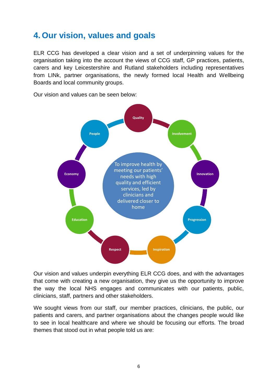# **4. Our vision, values and goals**

ELR CCG has developed a clear vision and a set of underpinning values for the organisation taking into the account the views of CCG staff, GP practices, patients, carers and key Leicestershire and Rutland stakeholders including representatives from LINk, partner organisations, the newly formed local Health and Wellbeing Boards and local community groups.

Our vision and values can be seen below:



Our vision and values underpin everything ELR CCG does, and with the advantages that come with creating a new organisation, they give us the opportunity to improve the way the local NHS engages and communicates with our patients, public, clinicians, staff, partners and other stakeholders.

We sought views from our staff, our member practices, clinicians, the public, our patients and carers, and partner organisations about the changes people would like to see in local healthcare and where we should be focusing our efforts. The broad themes that stood out in what people told us are: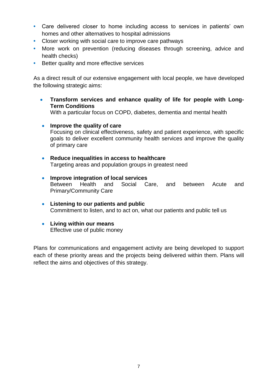- **•** Care delivered closer to home including access to services in patients" own homes and other alternatives to hospital admissions
- **•** Closer working with social care to improve care pathways
- **•** More work on prevention (reducing diseases through screening, advice and health checks)
- **•** Better quality and more effective services

As a direct result of our extensive engagement with local people, we have developed the following strategic aims:

 **Transform services and enhance quality of life for people with Long-Term Conditions**

With a particular focus on COPD, diabetes, dementia and mental health

- **Improve the quality of care** Focusing on clinical effectiveness, safety and patient experience, with specific goals to deliver excellent community health services and improve the quality of primary care
- **Reduce inequalities in access to healthcare** Targeting areas and population groups in greatest need
- **Improve integration of local services** Between Health and Social Care, and between Acute and Primary/Community Care
- **Listening to our patients and public** Commitment to listen, and to act on, what our patients and public tell us
- **Living within our means** Effective use of public money

Plans for communications and engagement activity are being developed to support each of these priority areas and the projects being delivered within them. Plans will reflect the aims and objectives of this strategy.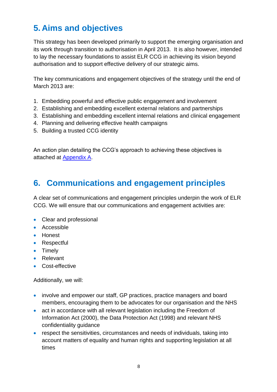# **5. Aims and objectives**

This strategy has been developed primarily to support the emerging organisation and its work through transition to authorisation in April 2013. It is also however, intended to lay the necessary foundations to assist ELR CCG in achieving its vision beyond authorisation and to support effective delivery of our strategic aims.

The key communications and engagement objectives of the strategy until the end of March 2013 are:

- 1. Embedding powerful and effective public engagement and involvement
- 2. Establishing and embedding excellent external relations and partnerships
- 3. Establishing and embedding excellent internal relations and clinical engagement
- 4. Planning and delivering effective health campaigns
- 5. Building a trusted CCG identity

An action plan detailing the CCG"s approach to achieving these objectives is attached at [Appendix A.](#page-17-0)

# **6. Communications and engagement principles**

A clear set of communications and engagement principles underpin the work of ELR CCG. We will ensure that our communications and engagement activities are:

- Clear and professional
- **Accessible**
- Honest
- Respectful
- Timely
- Relevant
- Cost-effective

Additionally, we will:

- involve and empower our staff, GP practices, practice managers and board members, encouraging them to be advocates for our organisation and the NHS
- act in accordance with all relevant legislation including the Freedom of Information Act (2000), the Data Protection Act (1998) and relevant NHS confidentiality guidance
- respect the sensitivities, circumstances and needs of individuals, taking into account matters of equality and human rights and supporting legislation at all times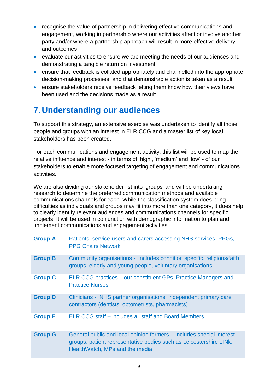- recognise the value of partnership in delivering effective communications and engagement, working in partnership where our activities affect or involve another party and/or where a partnership approach will result in more effective delivery and outcomes
- evaluate our activities to ensure we are meeting the needs of our audiences and demonstrating a tangible return on investment
- ensure that feedback is collated appropriately and channelled into the appropriate decision-making processes, and that demonstrable action is taken as a result
- **EXECT** ensure stakeholders receive feedback letting them know how their views have been used and the decisions made as a result

# **7. Understanding our audiences**

To support this strategy, an extensive exercise was undertaken to identify all those people and groups with an interest in ELR CCG and a master list of key local stakeholders has been created.

For each communications and engagement activity, this list will be used to map the relative influence and interest - in terms of "high", "medium" and "low" - of our stakeholders to enable more focused targeting of engagement and communications activities.

We are also dividing our stakeholder list into 'groups' and will be undertaking research to determine the preferred communication methods and available communications channels for each. While the classification system does bring difficulties as individuals and groups may fit into more than one category, it does help to clearly identify relevant audiences and communications channels for specific projects. It will be used in conjunction with demographic information to plan and implement communications and engagement activities.

| <b>Group A</b> | Patients, service-users and carers accessing NHS services, PPGs,<br><b>PPG Chairs Network</b>                                                                                |
|----------------|------------------------------------------------------------------------------------------------------------------------------------------------------------------------------|
| <b>Group B</b> | Community organisations - includes condition specific, religious/faith<br>groups, elderly and young people, voluntary organisations                                          |
| <b>Group C</b> | ELR CCG practices – our constituent GPs, Practice Managers and<br><b>Practice Nurses</b>                                                                                     |
| <b>Group D</b> | Clinicians - NHS partner organisations, independent primary care<br>contractors (dentists, optometrists, pharmacists)                                                        |
| <b>Group E</b> | ELR CCG staff – includes all staff and Board Members                                                                                                                         |
| <b>Group G</b> | General public and local opinion formers - includes special interest<br>groups, patient representative bodies such as Leicestershire LINK,<br>HealthWatch, MPs and the media |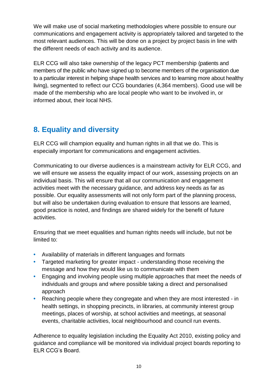We will make use of social marketing methodologies where possible to ensure our communications and engagement activity is appropriately tailored and targeted to the most relevant audiences. This will be done on a project by project basis in line with the different needs of each activity and its audience.

ELR CCG will also take ownership of the legacy PCT membership (patients and members of the public who have signed up to become members of the organisation due to a particular interest in helping shape health services and to learning more about healthy living), segmented to reflect our CCG boundaries (4,364 members). Good use will be made of the membership who are local people who want to be involved in, or informed about, their local NHS.

### **8. Equality and diversity**

ELR CCG will champion equality and human rights in all that we do. This is especially important for communications and engagement activities.

Communicating to our diverse audiences is a mainstream activity for ELR CCG, and we will ensure we assess the equality impact of our work, assessing projects on an individual basis. This will ensure that all our communication and engagement activities meet with the necessary guidance, and address key needs as far as possible. Our equality assessments will not only form part of the planning process, but will also be undertaken during evaluation to ensure that lessons are learned, good practice is noted, and findings are shared widely for the benefit of future activities.

Ensuring that we meet equalities and human rights needs will include, but not be limited to:

- **•** Availability of materials in different languages and formats
- **•** Targeted marketing for greater impact understanding those receiving the message and how they would like us to communicate with them
- **•** Engaging and involving people using multiple approaches that meet the needs of individuals and groups and where possible taking a direct and personalised approach
- **•** Reaching people where they congregate and when they are most interested in health settings, in shopping precincts, in libraries, at community interest group meetings, places of worship, at school activities and meetings, at seasonal events, charitable activities, local neighbourhood and council run events.

Adherence to equality legislation including the Equality Act 2010, existing policy and guidance and compliance will be monitored via individual project boards reporting to ELR CCG"s Board.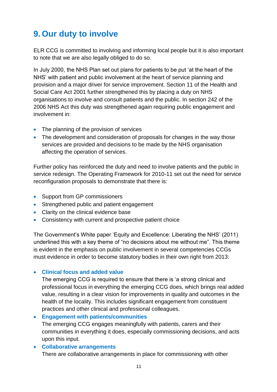# **9. Our duty to involve**

ELR CCG is committed to involving and informing local people but it is also important to note that we are also legally obliged to do so.

In July 2000, the NHS Plan set out plans for patients to be put "at the heart of the NHS" with patient and public involvement at the heart of service planning and provision and a major driver for service improvement. Section 11 of the Health and Social Care Act 2001 further strengthened this by placing a duty on NHS organisations to involve and consult patients and the public. In section 242 of the 2006 NHS Act this duty was strengthened again requiring public engagement and involvement in:

- The planning of the provision of services
- The development and consideration of proposals for changes in the way those services are provided and decisions to be made by the NHS organisation affecting the operation of services.

Further policy has reinforced the duty and need to involve patients and the public in service redesign. The Operating Framework for 2010-11 set out the need for service reconfiguration proposals to demonstrate that there is:

- Support from GP commissioners
- Strengthened public and patient engagement
- Clarity on the clinical evidence base
- Consistency with current and prospective patient choice

The Government's White paper 'Equity and Excellence: Liberating the NHS' (2011) underlined this with a key theme of "no decisions about me without me". This theme is evident in the emphasis on public involvement in several competencies CCGs must evidence in order to become statutory bodies in their own right from 2013:

#### **Clinical focus and added value**

The emerging CCG is required to ensure that there is "a strong clinical and professional focus in everything the emerging CCG does, which brings real added value, resulting in a clear vision for improvements in quality and outcomes in the health of the locality. This includes significant engagement from constituent practices and other clinical and professional colleagues.

 **Engagement with patients/communities** The emerging CCG engages meaningfully with patients, carers and their communities in everything it does, especially commissioning decisions, and acts upon this input.

### **Collaborative arrangements**

There are collaborative arrangements in place for commissioning with other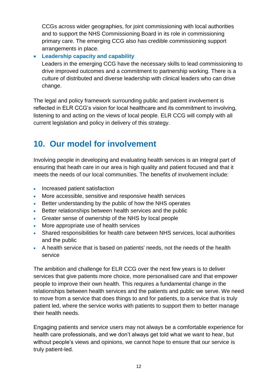CCGs across wider geographies, for joint commissioning with local authorities and to support the NHS Commissioning Board in its role in commissioning primary care. The emerging CCG also has credible commissioning support arrangements in place.

**Leadership capacity and capability**

Leaders in the emerging CCG have the necessary skills to lead commissioning to drive improved outcomes and a commitment to partnership working. There is a culture of distributed and diverse leadership with clinical leaders who can drive change.

The legal and policy framework surrounding public and patient involvement is reflected in ELR CCG"s vision for local healthcare and its commitment to involving, listening to and acting on the views of local people. ELR CCG will comply with all current legislation and policy in delivery of this strategy.

### **10. Our model for involvement**

Involving people in developing and evaluating health services is an integral part of ensuring that heath care in our area is high quality and patient focused and that it meets the needs of our local communities. The benefits of involvement include:

- Increased patient satisfaction
- More accessible, sensitive and responsive health services
- **Better understanding by the public of how the NHS operates**
- **Better relationships between health services and the public**
- Greater sense of ownership of the NHS by local people
- More appropriate use of health services
- Shared responsibilities for health care between NHS services, local authorities and the public
- A health service that is based on patients' needs, not the needs of the health service

The ambition and challenge for ELR CCG over the next few years is to deliver services that give patients more choice, more personalised care and that empower people to improve their own health. This requires a fundamental change in the relationships between health services and the patients and public we serve. We need to move from a service that does things to and for patients, to a service that is truly patient led, where the service works with patients to support them to better manage their health needs.

Engaging patients and service users may not always be a comfortable experience for health care professionals, and we don"t always get told what we want to hear, but without people's views and opinions, we cannot hope to ensure that our service is truly patient-led.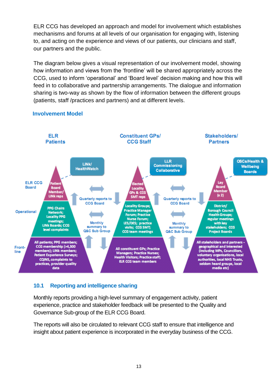ELR CCG has developed an approach and model for involvement which establishes mechanisms and forums at all levels of our organisation for engaging with, listening to, and acting on the experience and views of our patients, our clinicians and staff, our partners and the public.

The diagram below gives a visual representation of our involvement model, showing how information and views from the "frontline" will be shared appropriately across the CCG, used to inform "operational" and "Board level" decision making and how this will feed in to collaborative and partnership arrangements. The dialogue and information sharing is two-way as shown by the flow of information between the different groups (patients, staff /practices and partners) and at different levels.



#### **Involvement Model**

#### **10.1 Reporting and intelligence sharing**

Monthly reports providing a high-level summary of engagement activity, patient experience, practice and stakeholder feedback will be presented to the Quality and Governance Sub-group of the ELR CCG Board.

The reports will also be circulated to relevant CCG staff to ensure that intelligence and insight about patient experience is incorporated in the everyday business of the CCG.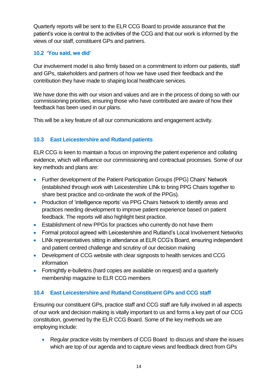Quarterly reports will be sent to the ELR CCG Board to provide assurance that the patient"s voice is central to the activities of the CCG and that our work is informed by the views of our staff, constituent GPs and partners.

#### **10.2 'You said, we did'**

Our involvement model is also firmly based on a commitment to inform our patients, staff and GPs, stakeholders and partners of how we have used their feedback and the contribution they have made to shaping local healthcare services.

We have done this with our vision and values and are in the process of doing so with our commissioning priorities, ensuring those who have contributed are aware of how their feedback has been used in our plans.

This will be a key feature of all our communications and engagement activity.

#### **10.3 East Leicestershire and Rutland patients**

ELR CCG is keen to maintain a focus on improving the patient experience and collating evidence, which will influence our commissioning and contractual processes. Some of our key methods and plans are:

- Further development of the Patient Participation Groups (PPG) Chairs' Network (established through work with Leicestershire LINk to bring PPG Chairs together to share best practice and co-ordinate the work of the PPGs).
- Production of 'intelligence reports' via PPG Chairs Network to identify areas and practices needing development to improve patient experience based on patient feedback. The reports will also highlight best practice.
- Establishment of new PPGs for practices who currently do not have them
- Formal protocol agreed with Leicestershire and Rutland's Local Involvement Networks
- LINk representatives sitting in attendance at ELR CCG"s Board, ensuring independent and patient centred challenge and scrutiny of our decision making
- Development of CCG website with clear signposts to health services and CCG information
- Fortnightly e-bulletins (hard copies are available on request) and a quarterly membership magazine to ELR CCG members

#### **10.4 East Leicestershire and Rutland Constituent GPs and CCG staff**

Ensuring our constituent GPs, practice staff and CCG staff are fully involved in all aspects of our work and decision making is vitally important to us and forms a key part of our CCG constitution, governed by the ELR CCG Board. Some of the key methods we are employing include:

• Regular practice visits by members of CCG Board to discuss and share the issues which are top of our agenda and to capture views and feedback direct from GPs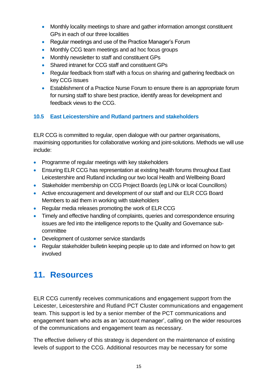- Monthly locality meetings to share and gather information amongst constituent GPs in each of our three localities
- Regular meetings and use of the Practice Manager's Forum
- Monthly CCG team meetings and ad hoc focus groups
- Monthly newsletter to staff and constituent GPs
- Shared intranet for CCG staff and constituent GPs
- Regular feedback from staff with a focus on sharing and gathering feedback on key CCG issues
- Establishment of a Practice Nurse Forum to ensure there is an appropriate forum for nursing staff to share best practice, identify areas for development and feedback views to the CCG.

#### **10.5 East Leicestershire and Rutland partners and stakeholders**

ELR CCG is committed to regular, open dialogue with our partner organisations, maximising opportunities for collaborative working and joint-solutions. Methods we will use include:

- Programme of regular meetings with key stakeholders
- **Ensuring ELR CCG has representation at existing health forums throughout East** Leicestershire and Rutland including our two local Health and Wellbeing Board
- Stakeholder membership on CCG Project Boards (eg LINk or local Councillors)
- Active encouragement and development of our staff and our ELR CCG Board Members to aid them in working with stakeholders
- Regular media releases promoting the work of ELR CCG
- Timely and effective handling of complaints, queries and correspondence ensuring issues are fed into the intelligence reports to the Quality and Governance subcommittee
- Development of customer service standards
- Regular stakeholder bulletin keeping people up to date and informed on how to get involved

### **11. Resources**

ELR CCG currently receives communications and engagement support from the Leicester, Leicestershire and Rutland PCT Cluster communications and engagement team. This support is led by a senior member of the PCT communications and engagement team who acts as an "account manager", calling on the wider resources of the communications and engagement team as necessary.

The effective delivery of this strategy is dependent on the maintenance of existing levels of support to the CCG. Additional resources may be necessary for some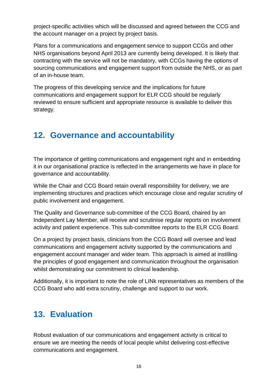project-specific activities which will be discussed and agreed between the CCG and the account manager on a project by project basis.

Plans for a communications and engagement service to support CCGs and other NHS organisations beyond April 2013 are currently being developed. It is likely that contracting with the service will not be mandatory, with CCGs having the options of sourcing communications and engagement support from outside the NHS, or as part of an in-house team.

The progress of this developing service and the implications for future communications and engagement support for ELR CCG should be regularly reviewed to ensure sufficient and appropriate resource is available to deliver this strategy.

### **12. Governance and accountability**

The importance of getting communications and engagement right and in embedding it in our organisational practice is reflected in the arrangements we have in place for governance and accountability.

While the Chair and CCG Board retain overall responsibility for delivery, we are implementing structures and practices which encourage close and regular scrutiny of public involvement and engagement.

The Quality and Governance sub-committee of the CCG Board, chaired by an Independent Lay Member, will receive and scrutinise regular reports on involvement activity and patient experience. This sub-committee reports to the ELR CCG Board.

On a project by project basis, clinicians from the CCG Board will oversee and lead communications and engagement activity supported by the communications and engagement account manager and wider team. This approach is aimed at instilling the principles of good engagement and communication throughout the organisation whilst demonstrating our commitment to clinical leadership.

Additionally, it is important to note the role of LINk representatives as members of the CCG Board who add extra scrutiny, challenge and support to our work.

# **13. Evaluation**

Robust evaluation of our communications and engagement activity is critical to ensure we are meeting the needs of local people whilst delivering cost-effective communications and engagement.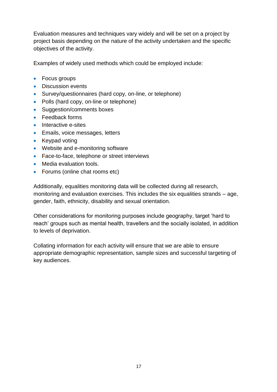Evaluation measures and techniques vary widely and will be set on a project by project basis depending on the nature of the activity undertaken and the specific objectives of the activity.

Examples of widely used methods which could be employed include:

- Focus groups
- Discussion events
- Survey/questionnaires (hard copy, on-line, or telephone)
- Polls (hard copy, on-line or telephone)
- Suggestion/comments boxes
- Feedback forms
- Interactive e-sites
- **Emails, voice messages, letters**
- Keypad voting
- Website and e-monitoring software
- Face-to-face, telephone or street interviews
- Media evaluation tools.
- Forums (online chat rooms etc)

Additionally, equalities monitoring data will be collected during all research, monitoring and evaluation exercises. This includes the six equalities strands – age, gender, faith, ethnicity, disability and sexual orientation.

Other considerations for monitoring purposes include geography, target "hard to reach" groups such as mental health, travellers and the socially isolated, in addition to levels of deprivation.

Collating information for each activity will ensure that we are able to ensure appropriate demographic representation, sample sizes and successful targeting of key audiences.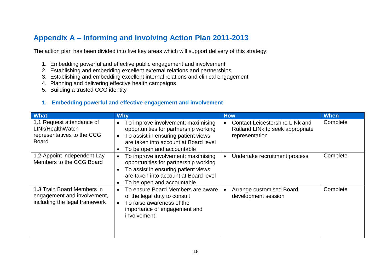### **Appendix A – Informing and Involving Action Plan 2011-2013**

The action plan has been divided into five key areas which will support delivery of this strategy:

- 1. Embedding powerful and effective public engagement and involvement
- 2. Establishing and embedding excellent external relations and partnerships
- 3. Establishing and embedding excellent internal relations and clinical engagement
- 4. Planning and delivering effective health campaigns
- 5. Building a trusted CCG identity

#### **1. Embedding powerful and effective engagement and involvement**

<span id="page-17-0"></span>

| What                                                                                        | <b>Why</b>                                                                                                                                                                                              | <b>How</b>                                                                                   | <b>When</b> |
|---------------------------------------------------------------------------------------------|---------------------------------------------------------------------------------------------------------------------------------------------------------------------------------------------------------|----------------------------------------------------------------------------------------------|-------------|
| 1.1 Request attendance of<br>LINk/HealthWatch<br>representatives to the CCG<br><b>Board</b> | To improve involvement; maximising<br>opportunities for partnership working<br>To assist in ensuring patient views<br>are taken into account at Board level<br>To be open and accountable               | <b>Contact Leicestershire LINK and</b><br>Rutland LINk to seek appropriate<br>representation | Complete    |
| 1.2 Appoint independent Lay<br>Members to the CCG Board                                     | To improve involvement; maximising<br>opportunities for partnership working<br>To assist in ensuring patient views<br>$\epsilon$<br>are taken into account at Board level<br>To be open and accountable | Undertake recruitment process                                                                | Complete    |
| 1.3 Train Board Members in<br>engagement and involvement,<br>including the legal framework  | To ensure Board Members are aware<br>of the legal duty to consult<br>To raise awareness of the<br>importance of engagement and<br>involvement                                                           | Arrange customised Board<br>development session                                              | Complete    |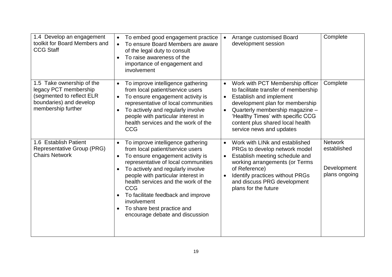| 1.4 Develop an engagement<br>toolkit for Board Members and<br><b>CCG Staff</b>                                                   | To embed good engagement practice<br>To ensure Board Members are aware<br>of the legal duty to consult<br>To raise awareness of the<br>importance of engagement and<br>involvement                                                                                                                                                                                                                     | Arrange customised Board<br>development session                                                                                                                                                                                                                                                                       | Complete                                                      |
|----------------------------------------------------------------------------------------------------------------------------------|--------------------------------------------------------------------------------------------------------------------------------------------------------------------------------------------------------------------------------------------------------------------------------------------------------------------------------------------------------------------------------------------------------|-----------------------------------------------------------------------------------------------------------------------------------------------------------------------------------------------------------------------------------------------------------------------------------------------------------------------|---------------------------------------------------------------|
| 1.5 Take ownership of the<br>legacy PCT membership<br>(segmented to reflect ELR<br>boundaries) and develop<br>membership further | To improve intelligence gathering<br>$\bullet$<br>from local patient/service users<br>To ensure engagement activity is<br>$\bullet$<br>representative of local communities<br>To actively and regularly involve<br>people with particular interest in<br>health services and the work of the<br><b>CCG</b>                                                                                             | Work with PCT Membership officer<br>$\bullet$<br>to facilitate transfer of membership<br>Establish and implement<br>$\bullet$<br>development plan for membership<br>Quarterly membership magazine -<br>$\bullet$<br>'Healthy Times' with specific CCG<br>content plus shared local health<br>service news and updates | Complete                                                      |
| 1.6 Establish Patient<br>Representative Group (PRG)<br><b>Chairs Network</b>                                                     | To improve intelligence gathering<br>from local patient/service users<br>To ensure engagement activity is<br>representative of local communities<br>To actively and regularly involve<br>people with particular interest in<br>health services and the work of the<br><b>CCG</b><br>To facilitate feedback and improve<br>involvement<br>To share best practice and<br>encourage debate and discussion | Work with LINk and established<br>$\bullet$<br>PRGs to develop network model<br>Establish meeting schedule and<br>$\bullet$<br>working arrangements (or Terms<br>of Reference)<br>Identify practices without PRGs<br>$\bullet$<br>and discuss PRG development<br>plans for the future                                 | <b>Network</b><br>established<br>Development<br>plans ongoing |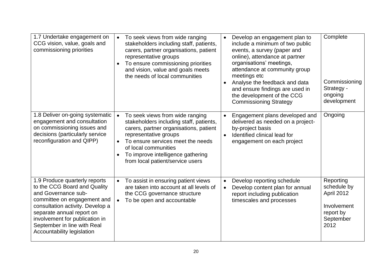| 1.7 Undertake engagement on<br>CCG vision, value, goals and<br>commissioning priorities                                                                                                                                                                                                    | To seek views from wide ranging<br>stakeholders including staff, patients,<br>carers, partner organisations, patient<br>representative groups<br>To ensure commissioning priorities<br>and vision, value and goals meets<br>the needs of local communities                          | Develop an engagement plan to<br>include a minimum of two public<br>events, a survey (paper and<br>online), attendance at partner<br>organisations' meetings,<br>attendance at community group<br>meetings etc<br>Analyse the feedback and data<br>and ensure findings are used in<br>the development of the CCG<br><b>Commissioning Strategy</b> | Complete<br>Commissioning<br>Strategy -<br>ongoing<br>development                       |
|--------------------------------------------------------------------------------------------------------------------------------------------------------------------------------------------------------------------------------------------------------------------------------------------|-------------------------------------------------------------------------------------------------------------------------------------------------------------------------------------------------------------------------------------------------------------------------------------|---------------------------------------------------------------------------------------------------------------------------------------------------------------------------------------------------------------------------------------------------------------------------------------------------------------------------------------------------|-----------------------------------------------------------------------------------------|
| 1.8 Deliver on-going systematic<br>engagement and consultation<br>on commissioning issues and<br>decisions (particularly service<br>reconfiguration and QIPP)                                                                                                                              | To seek views from wide ranging<br>stakeholders including staff, patients,<br>carers, partner organisations, patient<br>representative groups<br>To ensure services meet the needs<br>of local communities<br>To improve intelligence gathering<br>from local patient/service users | Engagement plans developed and<br>$\bullet$<br>delivered as needed on a project-<br>by-project basis<br>Identified clinical lead for<br>$\bullet$<br>engagement on each project                                                                                                                                                                   | Ongoing                                                                                 |
| 1.9 Produce quarterly reports<br>to the CCG Board and Quality<br>and Governance sub-<br>committee on engagement and<br>consultation activity. Develop a<br>separate annual report on<br>involvement for publication in<br>September in line with Real<br><b>Accountability legislation</b> | To assist in ensuring patient views<br>are taken into account at all levels of<br>the CCG governance structure<br>To be open and accountable                                                                                                                                        | Develop reporting schedule<br>$\bullet$<br>Develop content plan for annual<br>$\bullet$<br>report including publication<br>timescales and processes                                                                                                                                                                                               | Reporting<br>schedule by<br>April 2012<br>Involvement<br>report by<br>September<br>2012 |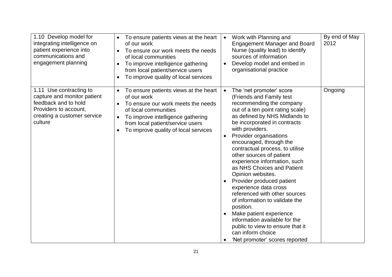| 1.10 Develop model for<br>integrating intelligence on<br>patient experience into<br>communications and<br>engagement planning                     | To ensure patients views at the heart<br>of our work<br>To ensure our work meets the needs<br>of local communities<br>To improve intelligence gathering<br>from local patient/service users<br>To improve quality of local services              | By end of May<br>Work with Planning and<br>$\bullet$<br>2012<br><b>Engagement Manager and Board</b><br>Nurse (quality lead) to identify<br>sources of information<br>Develop model and embed in<br>organisational practice                                                                                                                                                                                                                                                                                                                                                                                                                                                                                                                                     |
|---------------------------------------------------------------------------------------------------------------------------------------------------|--------------------------------------------------------------------------------------------------------------------------------------------------------------------------------------------------------------------------------------------------|----------------------------------------------------------------------------------------------------------------------------------------------------------------------------------------------------------------------------------------------------------------------------------------------------------------------------------------------------------------------------------------------------------------------------------------------------------------------------------------------------------------------------------------------------------------------------------------------------------------------------------------------------------------------------------------------------------------------------------------------------------------|
| 1.11 Use contracting to<br>capture and monitor patient<br>feedback and to hold<br>Providers to account,<br>creating a customer service<br>culture | To ensure patients views at the heart<br>of our work<br>To ensure our work meets the needs<br>of local communities<br>To improve intelligence gathering<br>from local patient/service users<br>To improve quality of local services<br>$\bullet$ | Ongoing<br>The 'net promoter' score<br>$\bullet$<br>(Friends and Family test<br>recommending the company<br>out of a ten point rating scale)<br>as defined by NHS Midlands to<br>be incorporated in contracts<br>with providers.<br>Provider organisations<br>$\bullet$<br>encouraged, through the<br>contractual process, to utilise<br>other sources of patient<br>experience information, such<br>as NHS Choices and Patient<br>Opinion websites.<br>Provider produced patient<br>$\bullet$<br>experience data cross<br>referenced with other sources<br>of information to validate the<br>position.<br>Make patient experience<br>information available for the<br>public to view to ensure that it<br>can inform choice<br>'Net promoter' scores reported |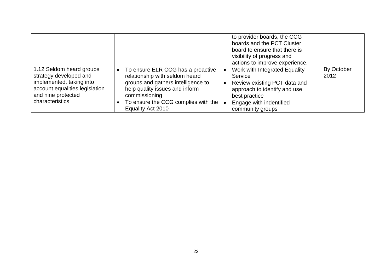|                                                                                                                                                           |                                                                                                                                                                                                                                       | to provider boards, the CCG<br>boards and the PCT Cluster<br>board to ensure that there is<br>visibility of progress and<br>actions to improve experience.               |                    |
|-----------------------------------------------------------------------------------------------------------------------------------------------------------|---------------------------------------------------------------------------------------------------------------------------------------------------------------------------------------------------------------------------------------|--------------------------------------------------------------------------------------------------------------------------------------------------------------------------|--------------------|
| 1.12 Seldom heard groups<br>strategy developed and<br>implemented, taking into<br>account equalities legislation<br>and nine protected<br>characteristics | To ensure ELR CCG has a proactive<br>$\bullet$<br>relationship with seldom heard<br>groups and gathers intelligence to<br>help quality issues and inform<br>commissioning<br>To ensure the CCG complies with the<br>Equality Act 2010 | Work with Integrated Equality<br>Service<br>Review existing PCT data and<br>approach to identify and use<br>best practice<br>Engage with indentified<br>community groups | By October<br>2012 |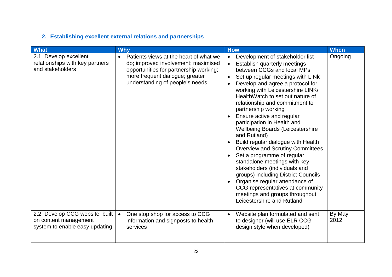### **2. Establishing excellent external relations and partnerships**

| <b>What</b>                                                                              | <b>Why</b>                                                                                                                                                                                                 | <b>How</b>                                                                                                                                                                                                                                                                                                                                                                                                                                                                                                                                                                                                                                                                                                                                                                                                                                                                              | <b>When</b>    |
|------------------------------------------------------------------------------------------|------------------------------------------------------------------------------------------------------------------------------------------------------------------------------------------------------------|-----------------------------------------------------------------------------------------------------------------------------------------------------------------------------------------------------------------------------------------------------------------------------------------------------------------------------------------------------------------------------------------------------------------------------------------------------------------------------------------------------------------------------------------------------------------------------------------------------------------------------------------------------------------------------------------------------------------------------------------------------------------------------------------------------------------------------------------------------------------------------------------|----------------|
| 2.1 Develop excellent<br>relationships with key partners<br>and stakeholders             | Patients views at the heart of what we<br>$\bullet$<br>do; improved involvement; maximised<br>opportunities for partnership working;<br>more frequent dialogue; greater<br>understanding of people's needs | Development of stakeholder list<br>$\bullet$<br>Establish quarterly meetings<br>$\bullet$<br>between CCGs and local MPs<br>Set up regular meetings with LINk<br>$\bullet$<br>Develop and agree a protocol for<br>$\bullet$<br>working with Leicestershire LINK/<br>HealthWatch to set out nature of<br>relationship and commitment to<br>partnership working<br>Ensure active and regular<br>$\bullet$<br>participation in Health and<br><b>Wellbeing Boards (Leicestershire</b><br>and Rutland)<br>Build regular dialogue with Health<br><b>Overview and Scrutiny Committees</b><br>Set a programme of regular<br>$\bullet$<br>standalone meetings with key<br>stakeholders (individuals and<br>groups) including District Councils<br>Organise regular attendance of<br>$\bullet$<br>CCG representatives at community<br>meetings and groups throughout<br>Leicestershire and Rutland | Ongoing        |
| 2.2 Develop CCG website built<br>on content management<br>system to enable easy updating | One stop shop for access to CCG<br>$\bullet$<br>information and signposts to health<br>services                                                                                                            | Website plan formulated and sent<br>$\bullet$<br>to designer (will use ELR CCG<br>design style when developed)                                                                                                                                                                                                                                                                                                                                                                                                                                                                                                                                                                                                                                                                                                                                                                          | By May<br>2012 |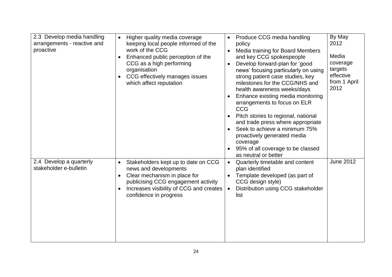| 2.3 Develop media handling<br>arrangements - reactive and<br>proactive | Higher quality media coverage<br>keeping local people informed of the<br>work of the CCG<br>Enhanced public perception of the<br>CCG as a high performing<br>organisation<br>CCG effectively manages issues<br>which affect reputation | Produce CCG media handling<br>policy<br>Media training for Board Members<br>$\bullet$<br>and key CCG spokespeople<br>Develop forward-plan for 'good<br>$\bullet$<br>news' focusing particularly on using<br>strong patient case studies, key<br>milestones for the CCG/NHS and<br>health awareness weeks/days<br>Enhance existing media monitoring<br>arrangements to focus on ELR<br><b>CCG</b><br>Pitch stories to regional, national<br>and trade press where appropriate<br>Seek to achieve a minimum 75%<br>$\bullet$<br>proactively generated media<br>coverage<br>95% of all coverage to be classed<br>$\bullet$<br>as neutral or better | By May<br>2012<br>Media<br>coverage<br>targets<br>effective<br>from 1 April<br>2012 |
|------------------------------------------------------------------------|----------------------------------------------------------------------------------------------------------------------------------------------------------------------------------------------------------------------------------------|-------------------------------------------------------------------------------------------------------------------------------------------------------------------------------------------------------------------------------------------------------------------------------------------------------------------------------------------------------------------------------------------------------------------------------------------------------------------------------------------------------------------------------------------------------------------------------------------------------------------------------------------------|-------------------------------------------------------------------------------------|
| 2.4 Develop a quarterly<br>stakeholder e-bulletin                      | Stakeholders kept up to date on CCG<br>news and developments<br>Clear mechanism in place for<br>publicising CCG engagement activity<br>Increases visibility of CCG and creates<br>confidence in progress                               | Quarterly timetable and content<br>$\bullet$<br>plan identified<br>Template developed (as part of<br>CCG design style)<br>Distribution using CCG stakeholder<br>$\bullet$<br>list                                                                                                                                                                                                                                                                                                                                                                                                                                                               | <b>June 2012</b>                                                                    |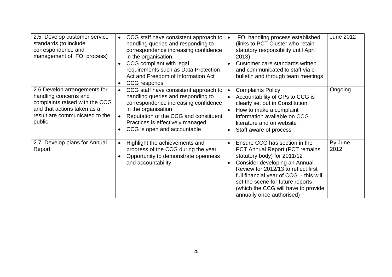| 2.5 Develop customer service<br>standards (to include<br>correspondence and<br>management of FOI process)                                                          | CCG staff have consistent approach to<br>$\bullet$<br>handling queries and responding to<br>correspondence increasing confidence<br>in the organisation<br>CCG compliant with legal<br>$\bullet$<br>requirements such as Data Protection<br>Act and Freedom of Information Act<br>CCG responds | FOI handling process established<br>$\bullet$<br>(links to PCT Cluster who retain<br>statutory responsibility until April<br>2013)<br>Customer care standards written<br>and communicated to staff via e-<br>bulletin and through team meetings                                                                                               | <b>June 2012</b> |
|--------------------------------------------------------------------------------------------------------------------------------------------------------------------|------------------------------------------------------------------------------------------------------------------------------------------------------------------------------------------------------------------------------------------------------------------------------------------------|-----------------------------------------------------------------------------------------------------------------------------------------------------------------------------------------------------------------------------------------------------------------------------------------------------------------------------------------------|------------------|
| 2.6 Develop arrangements for<br>handling concerns and<br>complaints raised with the CCG<br>and that actions taken as a<br>result are communicated to the<br>public | CCG staff have consistent approach to<br>$\bullet$<br>handling queries and responding to<br>correspondence increasing confidence<br>in the organisation<br>Reputation of the CCG and constituent<br>$\bullet$<br>Practices is effectively managed<br>CCG is open and accountable               | <b>Complaints Policy</b><br>$\bullet$<br>Accountability of GPs to CCG is<br>$\bullet$<br>clearly set out in Constitution<br>How to make a complaint<br>information available on CCG<br>literature and on website<br>Staff aware of process<br>$\bullet$                                                                                       | Ongoing          |
| 2.7 Develop plans for Annual<br>Report                                                                                                                             | Highlight the achievements and<br>$\bullet$<br>progress of the CCG during the year<br>Opportunity to demonstrate openness<br>and accountability                                                                                                                                                | Ensure CCG has section in the<br><b>PCT Annual Report (PCT remains)</b><br>statutory body) for 2011/12<br>Consider developing an Annual<br>$\bullet$<br>Review for 2012/13 to reflect first<br>full financial year of CCG - this will<br>set the scene for future reports<br>(which the CCG will have to provide<br>annually once authorised) | By June<br>2012  |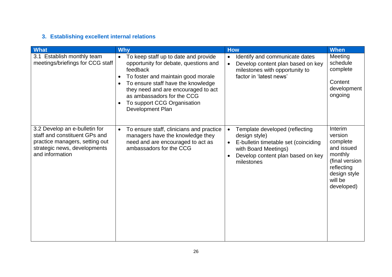### **3. Establishing excellent internal relations**

| <b>What</b>                                                                                                                                         | <b>Why</b>                                                                                                                                                                                                                                                                                                        | <b>How</b>                                                                                                                                                                                                | <b>When</b>                                                                                                                      |
|-----------------------------------------------------------------------------------------------------------------------------------------------------|-------------------------------------------------------------------------------------------------------------------------------------------------------------------------------------------------------------------------------------------------------------------------------------------------------------------|-----------------------------------------------------------------------------------------------------------------------------------------------------------------------------------------------------------|----------------------------------------------------------------------------------------------------------------------------------|
| 3.1 Establish monthly team<br>meetings/briefings for CCG staff                                                                                      | To keep staff up to date and provide<br>$\bullet$<br>opportunity for debate, questions and<br>feedback<br>To foster and maintain good morale<br>To ensure staff have the knowledge<br>they need and are encouraged to act<br>as ambassadors for the CCG<br>To support CCG Organisation<br><b>Development Plan</b> | Identify and communicate dates<br>$\bullet$<br>Develop content plan based on key<br>$\bullet$<br>milestones with opportunity to<br>factor in 'latest news'                                                | Meeting<br>schedule<br>complete<br>Content<br>development<br>ongoing                                                             |
| 3.2 Develop an e-bulletin for<br>staff and constituent GPs and<br>practice managers, setting out<br>strategic news, developments<br>and information | To ensure staff, clinicians and practice<br>$\bullet$<br>managers have the knowledge they<br>need and are encouraged to act as<br>ambassadors for the CCG                                                                                                                                                         | Template developed (reflecting<br>$\bullet$<br>design style)<br>E-bulletin timetable set (coinciding<br>$\bullet$<br>with Board Meetings)<br>Develop content plan based on key<br>$\bullet$<br>milestones | Interim<br>version<br>complete<br>and issued<br>monthly<br>(final version<br>reflecting<br>design style<br>will be<br>developed) |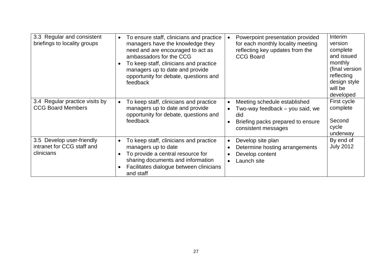| 3.3 Regular and consistent<br>briefings to locality groups            | To ensure staff, clinicians and practice<br>$\bullet$<br>managers have the knowledge they<br>need and are encouraged to act as<br>ambassadors for the CCG<br>To keep staff, clinicians and practice<br>managers up to date and provide<br>opportunity for debate, questions and<br>feedback | Powerpoint presentation provided<br>for each monthly locality meeting<br>reflecting key updates from the<br><b>CCG Board</b>                                              | Interim<br>version<br>complete<br>and issued<br>monthly<br>(final version<br>reflecting<br>design style<br>will be<br>developed |
|-----------------------------------------------------------------------|---------------------------------------------------------------------------------------------------------------------------------------------------------------------------------------------------------------------------------------------------------------------------------------------|---------------------------------------------------------------------------------------------------------------------------------------------------------------------------|---------------------------------------------------------------------------------------------------------------------------------|
| 3.4 Regular practice visits by<br><b>CCG Board Members</b>            | To keep staff, clinicians and practice<br>managers up to date and provide<br>opportunity for debate, questions and<br>feedback                                                                                                                                                              | Meeting schedule established<br>$\bullet$<br>Two-way feedback - you said, we<br>$\bullet$<br>did<br>Briefing packs prepared to ensure<br>$\bullet$<br>consistent messages | First cycle<br>complete<br>Second<br>cycle<br>underway                                                                          |
| 3.5 Develop user-friendly<br>intranet for CCG staff and<br>clinicians | To keep staff, clinicians and practice<br>managers up to date<br>To provide a central resource for<br>sharing documents and information<br>Facilitates dialogue between clinicians<br>and staff                                                                                             | Develop site plan<br>$\bullet$<br>Determine hosting arrangements<br>$\bullet$<br>Develop content<br>$\bullet$<br>Launch site<br>$\bullet$                                 | By end of<br><b>July 2012</b>                                                                                                   |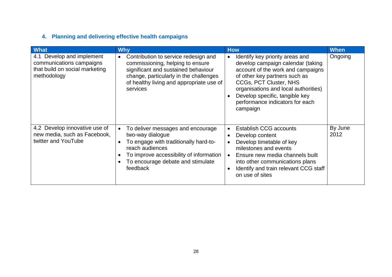### **4. Planning and delivering effective health campaigns**

| <b>What</b>                                                                                            | <b>Why</b>                                                                                                                                                                                                                     | <b>How</b>                                                                                                                                                                                                                                                                                                 | <b>When</b>     |
|--------------------------------------------------------------------------------------------------------|--------------------------------------------------------------------------------------------------------------------------------------------------------------------------------------------------------------------------------|------------------------------------------------------------------------------------------------------------------------------------------------------------------------------------------------------------------------------------------------------------------------------------------------------------|-----------------|
| 4.1 Develop and implement<br>communications campaigns<br>that build on social marketing<br>methodology | Contribution to service redesign and<br>$\bullet$<br>commissioning, helping to ensure<br>significant and sustained behaviour<br>change, particularly in the challenges<br>of healthy living and appropriate use of<br>services | Identify key priority areas and<br>$\bullet$<br>develop campaign calendar (taking<br>account of the work and campaigns<br>of other key partners such as<br>CCGs, PCT Cluster, NHS<br>organisations and local authorities)<br>Develop specific, tangible key<br>performance indicators for each<br>campaign | Ongoing         |
| 4.2 Develop innovative use of<br>new media, such as Facebook,<br>twitter and YouTube                   | To deliver messages and encourage<br>two-way dialogue<br>To engage with traditionally hard-to-<br>reach audiences<br>To improve accessibility of information<br>To encourage debate and stimulate<br>feedback                  | <b>Establish CCG accounts</b><br>$\bullet$<br>Develop content<br>$\bullet$<br>Develop timetable of key<br>$\bullet$<br>milestones and events<br>Ensure new media channels built<br>$\bullet$<br>into other communications plans<br>Identify and train relevant CCG staff<br>$\bullet$<br>on use of sites   | By June<br>2012 |